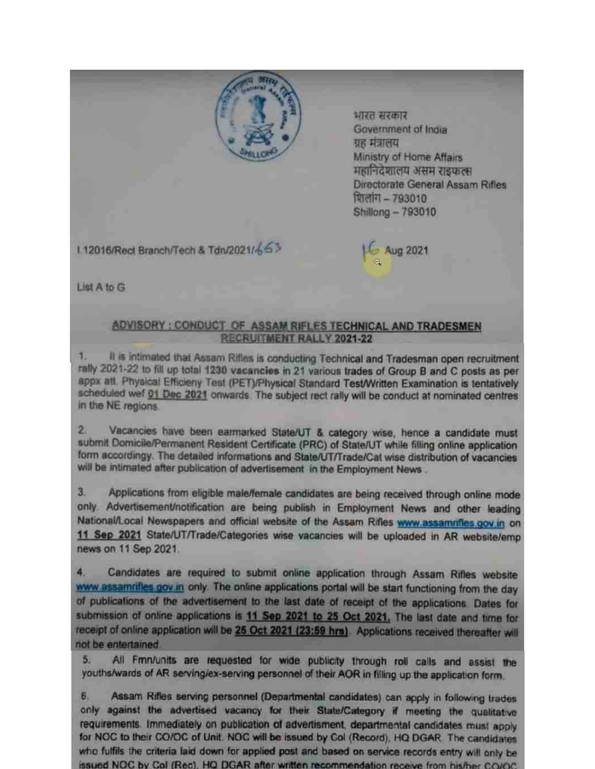

भारत सरकार Government of India ग्रह मंत्रालय Ministry of Home Affairs महानिदेशालय असम राइफल्स Directorate General Assam Rifles शिलांग - 793010 Shillong - 793010

1.12016/Rect Branch/Tech & Tdn/2021/453

16 Aug 2021

List A to G

## ADVISORY : CONDUCT OF ASSAM RIFLES TECHNICAL AND TRADESMEN RECRUITMENT RALLY 2021-22

It is intimated that Assam Rifles is conducting Technical and Tradesman open recruitment rally 2021-22 to fill up total 1230 vacancies in 21 various trades of Group B and C posts as per appx att. Physical Efficieny Test (PET)/Physical Standard Test/Written Examination is tentatively scheduled wef 01 Dec 2021 onwards. The subject rect rally will be conduct at nominated centres in the NE regions.

 $2<sub>1</sub>$ Vacancies have been earmarked State/UT & category wise, hence a candidate must submit Domicile/Permanent Resident Certificate (PRC) of State/UT while filling online application form accordingy. The detailed informations and State/UT/Trade/Cat wise distribution of vacancies will be intimated after publication of advertisement in the Employment News.

 $3.$ Applications from eligible male/female candidates are being received through online mode only. Advertisement/notification are being publish in Employment News and other leading National/Local Newspapers and official website of the Assam Rifles www.assamrifles.gov.in on 11 Sep 2021 State/UT/Trade/Categories wise vacancies will be uploaded in AR website/emp news on 11 Sep 2021.

Candidates are required to submit online application through Assam Rifles website 4. www.assamrifles.gov.in only. The online applications portal will be start functioning from the day of publications of the advertisement to the last date of receipt of the applications. Dates for submission of online applications is 11 Sep 2021 to 25 Oct 2021. The last date and time for receipt of online application will be 25 Oct 2021 (23:59 hrs). Applications received thereafter will not be entertained.

All Fmn/units are requested for wide publicity through roll calls and assist the  $5.$ youths/wards of AR serving/ex-serving personnel of their AOR in filling up the application form.

Assam Rifles serving personnel (Departmental candidates) can apply in following trades  $6.$ only against the advertised vacancy for their State/Category if meeting the qualitative requirements. Immediately on publication of advertisment, departmental candidates must apply for NOC to their CO/OC of Unit. NOC will be issued by Col (Record), HQ DGAR. The candidates who fulfils the criteria laid down for applied post and based on service records entry will only be issued NOC by Col (Rec). HQ DGAR after written recommendation receive from his/her CO/OC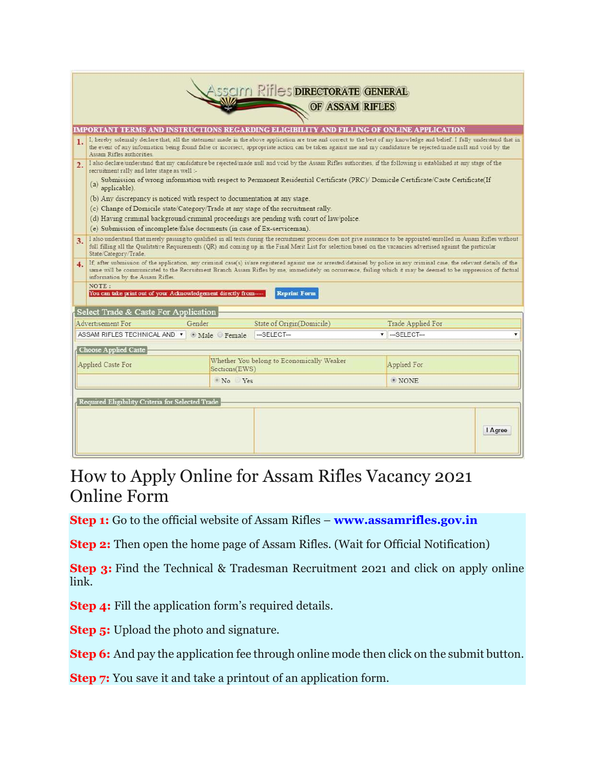| <b>ASSCILLI RIFLES DIRECTORATE GENERAL</b><br>OF ASSAM RIFLES                            |                                                                                                                                                                                                                                                                                                                                                                                  |        |                                                            |                           |                                        |  |  |  |
|------------------------------------------------------------------------------------------|----------------------------------------------------------------------------------------------------------------------------------------------------------------------------------------------------------------------------------------------------------------------------------------------------------------------------------------------------------------------------------|--------|------------------------------------------------------------|---------------------------|----------------------------------------|--|--|--|
| IMPORTANT TERMS AND INSTRUCTIONS REGARDING ELIGIBILITY AND FILLING OF ONLINE APPLICATION |                                                                                                                                                                                                                                                                                                                                                                                  |        |                                                            |                           |                                        |  |  |  |
| 1.                                                                                       | I, hereby solemnly declare that, all the statement made in the above application are true and correct to the best of my knowledge and belief. I fully understand that in<br>the event of any information being found false or mcorrect, appropriate action can be taken against me and my candidature be rejected made null and void by the<br>Assam Rifles authorities.         |        |                                                            |                           |                                        |  |  |  |
| 2.                                                                                       | I also declare/understand that my candidature be rejected/made null and void by the Assam Rifles authorities, if the following is established at any stage of the<br>recruitment rally and later stage as well :-                                                                                                                                                                |        |                                                            |                           |                                        |  |  |  |
|                                                                                          | (a) Submission of wrong information with respect to Permanent Residential Certificate (PRC)/ Domicile Certificate/Caste Certificate(If applicable).                                                                                                                                                                                                                              |        |                                                            |                           |                                        |  |  |  |
|                                                                                          | (b) Any discrepancy is noticed with respect to documentation at any stage.                                                                                                                                                                                                                                                                                                       |        |                                                            |                           |                                        |  |  |  |
|                                                                                          | (c) Change of Domicile state/Category/Trade at any stage of the recruitment rally.                                                                                                                                                                                                                                                                                               |        |                                                            |                           |                                        |  |  |  |
|                                                                                          | (d) Having criminal background/criminal proceedings are pending with court of law/police.                                                                                                                                                                                                                                                                                        |        |                                                            |                           |                                        |  |  |  |
|                                                                                          | (e) Submission of incomplete/false documents (in case of Ex-serviceman).                                                                                                                                                                                                                                                                                                         |        |                                                            |                           |                                        |  |  |  |
| 3.                                                                                       | I also understand that merely passing to qualified in all tests during the recruitment process does not give assurance to be appointed enrolled in Assam Rifles without<br>full filling all the Qualitative Requirements (QR) and coming up in the Final Merit List for selection based on the vacancies advertised against the particular<br>State Category/Trade.              |        |                                                            |                           |                                        |  |  |  |
| 4.                                                                                       | If after submission of the application, any criminal case(s) is are registered against me or arrested/detained by police in any criminal case, the relevant details of the<br>same will be communicated to the Recruitment Branch Assam Rifles by me, immediately on occurrence, failing which it may be deemed to be suppression of factual<br>information by the Assam Rifles. |        |                                                            |                           |                                        |  |  |  |
|                                                                                          | NOTE:<br><b>Reprint Form</b><br>You can take print out of your Acknowledgement directly from-                                                                                                                                                                                                                                                                                    |        |                                                            |                           |                                        |  |  |  |
|                                                                                          | Select Trade & Caste For Application                                                                                                                                                                                                                                                                                                                                             |        |                                                            |                           |                                        |  |  |  |
| Advertisement For                                                                        |                                                                                                                                                                                                                                                                                                                                                                                  | Gender |                                                            | State of Origin(Domicile) | Trade Applied For                      |  |  |  |
|                                                                                          | ASSAM RIFLES TECHNICAL AND v Male Female                                                                                                                                                                                                                                                                                                                                         |        |                                                            | $-$ SELECT $-$            | $\overline{\phantom{a}}$ -SELECT-<br>v |  |  |  |
|                                                                                          |                                                                                                                                                                                                                                                                                                                                                                                  |        |                                                            |                           |                                        |  |  |  |
|                                                                                          | Choose Applied Caste                                                                                                                                                                                                                                                                                                                                                             |        |                                                            |                           |                                        |  |  |  |
|                                                                                          | Applied Caste For                                                                                                                                                                                                                                                                                                                                                                |        | Whether You belong to Economically Weaker<br>Sections(EWS) |                           | Applied For                            |  |  |  |
|                                                                                          |                                                                                                                                                                                                                                                                                                                                                                                  |        | No Yes                                                     |                           | $\bullet$ NONE.                        |  |  |  |
| Required Eligibility Criteria for Selected Trade                                         |                                                                                                                                                                                                                                                                                                                                                                                  |        |                                                            |                           |                                        |  |  |  |
|                                                                                          |                                                                                                                                                                                                                                                                                                                                                                                  |        |                                                            |                           | I Agree                                |  |  |  |

## How to Apply Online for Assam Rifles Vacancy 2021 Online Form

Step 1: Go to the official website of Assam Rifles – www.assamrifles.gov.in

Step 2: Then open the home page of Assam Rifles. (Wait for Official Notification)

**Step 3:** Find the Technical & Tradesman Recruitment 2021 and click on apply online link.

Step 4: Fill the application form's required details.

**Step 5:** Upload the photo and signature.

Step 6: And pay the application fee through online mode then click on the submit button.

Step 7: You save it and take a printout of an application form.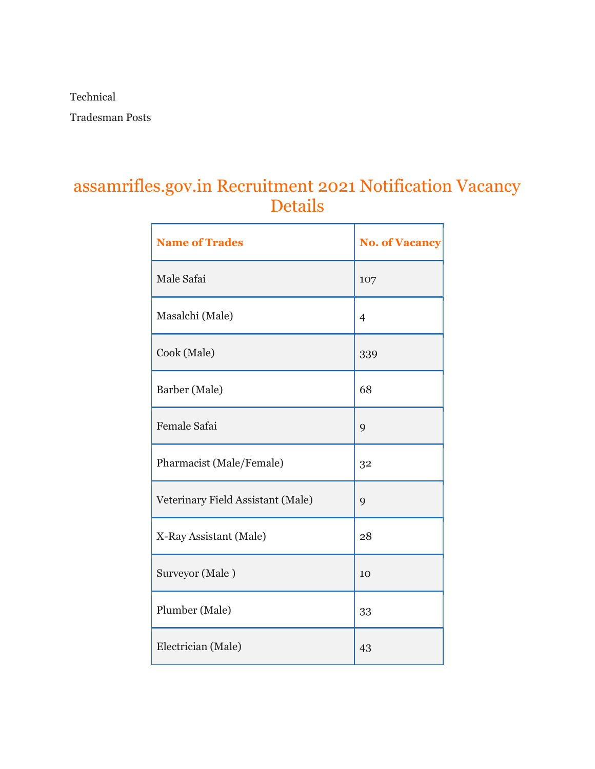Technical

Tradesman Posts

## assamrifles.gov.in Recruitment 2021 Notification Vacancy Details

| <b>Name of Trades</b>             | <b>No. of Vacancy</b> |
|-----------------------------------|-----------------------|
| Male Safai                        | 107                   |
| Masalchi (Male)                   | $\overline{4}$        |
| Cook (Male)                       | 339                   |
| Barber (Male)                     | 68                    |
| <b>Female Safai</b>               | 9                     |
| Pharmacist (Male/Female)          | 32                    |
| Veterinary Field Assistant (Male) | 9                     |
| X-Ray Assistant (Male)            | 28                    |
| Surveyor (Male)                   | 10                    |
| Plumber (Male)                    | 33                    |
| Electrician (Male)                | 43                    |